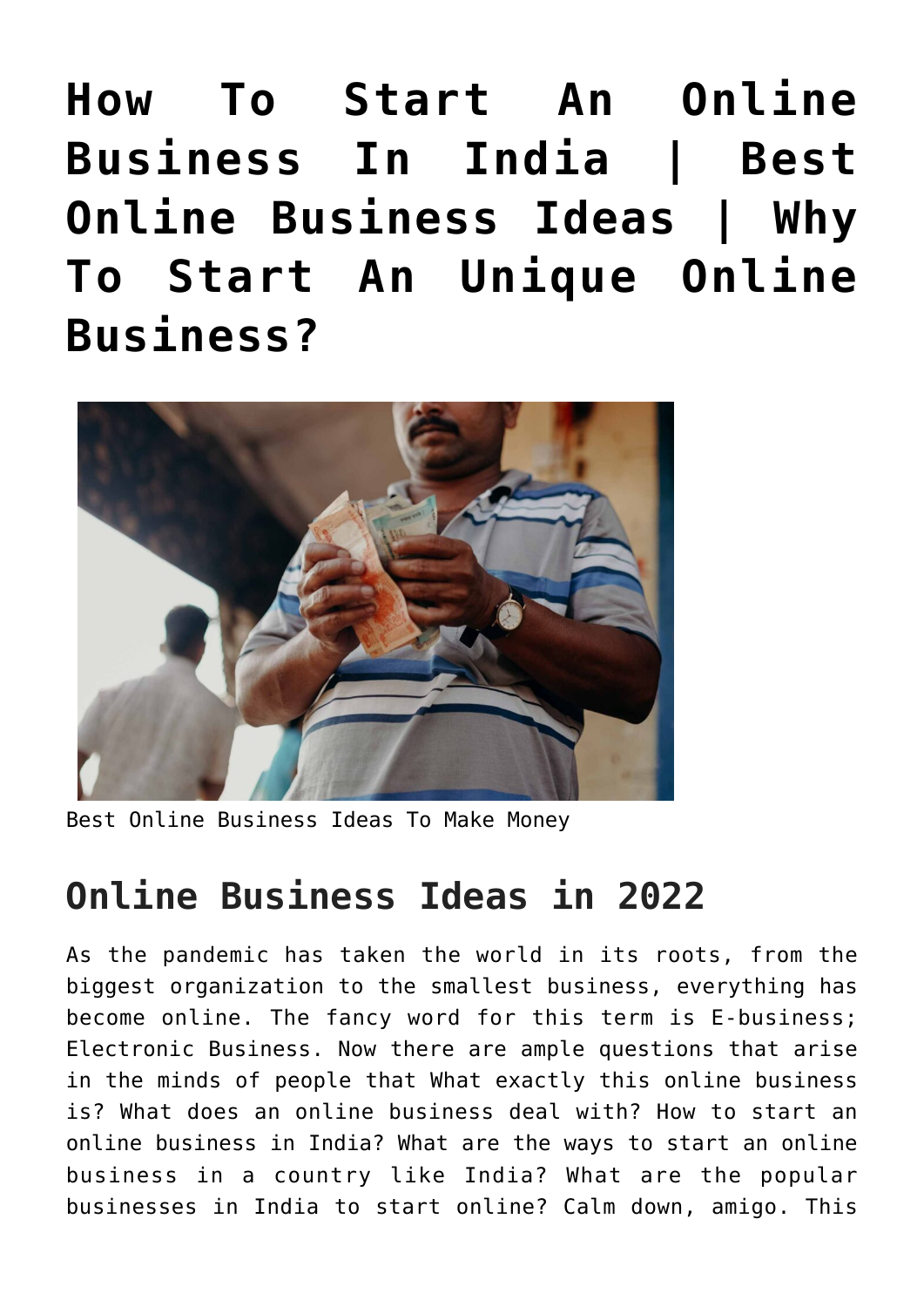**[How To Start An Online](https://inbusinessideas.com/how-to-start-an-online-business-in-india/) [Business In India | Best](https://inbusinessideas.com/how-to-start-an-online-business-in-india/) [Online Business Ideas | Why](https://inbusinessideas.com/how-to-start-an-online-business-in-india/) [To Start An Unique Online](https://inbusinessideas.com/how-to-start-an-online-business-in-india/) [Business?](https://inbusinessideas.com/how-to-start-an-online-business-in-india/)**



Best Online Business Ideas To Make Money

# **Online Business Ideas in 2022**

As the pandemic has taken the world in its roots, from the biggest organization to the smallest business, everything has become online. The fancy word for this term is E-business; Electronic Business. Now there are ample questions that arise in the minds of people that What exactly this online business is? What does an online business deal with? How to start an online business in India? What are the ways to start an online business in a country like India? What are the popular businesses in India to start online? Calm down, amigo. This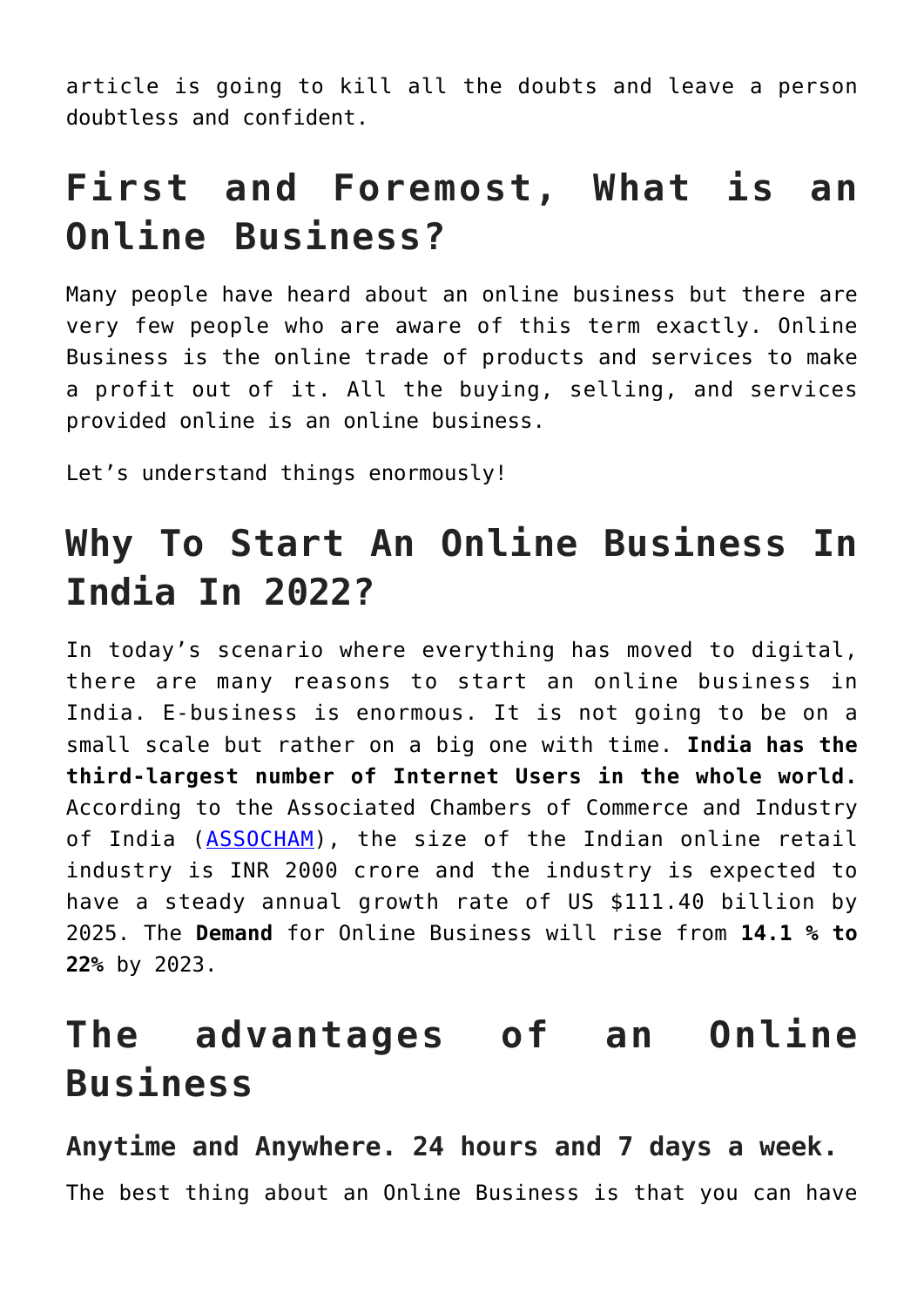article is going to kill all the doubts and leave a person doubtless and confident.

# **First and Foremost, What is an Online Business?**

Many people have heard about an online business but there are very few people who are aware of this term exactly. Online Business is the online trade of products and services to make a profit out of it. All the buying, selling, and services provided online is an online business.

Let's understand things enormously!

# **Why To Start An Online Business In India In 2022?**

In today's scenario where everything has moved to digital, there are many reasons to start an online business in India. E-business is enormous. It is not going to be on a small scale but rather on a big one with time. **India has the third-largest number of Internet Users in the whole world.** According to the Associated Chambers of Commerce and Industry of India ([ASSOCHAM\)](https://www.assocham.org/index.php), the size of the Indian online retail industry is INR 2000 crore and the industry is expected to have a steady annual growth rate of US \$111.40 billion by 2025. The **Demand** for Online Business will rise from **14.1 % to 22%** by 2023.

## **The advantages of an Online Business**

**Anytime and Anywhere. 24 hours and 7 days a week.** The best thing about an Online Business is that you can have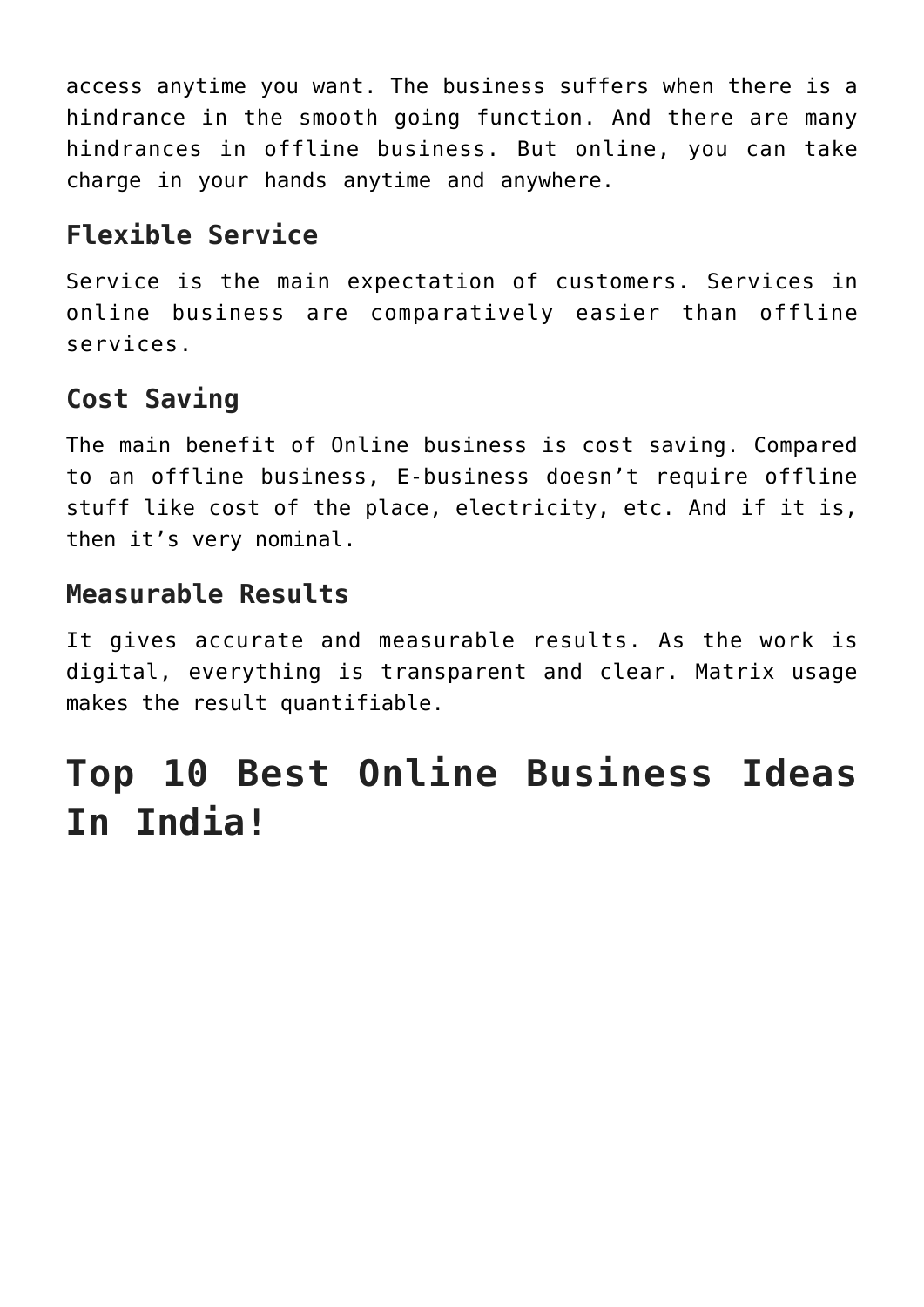access anytime you want. The business suffers when there is a hindrance in the smooth going function. And there are many hindrances in offline business. But online, you can take charge in your hands anytime and anywhere.

## **Flexible Service**

Service is the main expectation of customers. Services in online business are comparatively easier than offline services.

## **Cost Saving**

The main benefit of Online business is cost saving. Compared to an offline business, E-business doesn't require offline stuff like cost of the place, electricity, etc. And if it is, then it's very nominal.

### **Measurable Results**

It gives accurate and measurable results. As the work is digital, everything is transparent and clear. Matrix usage makes the result quantifiable.

# **Top 10 Best Online Business Ideas In India!**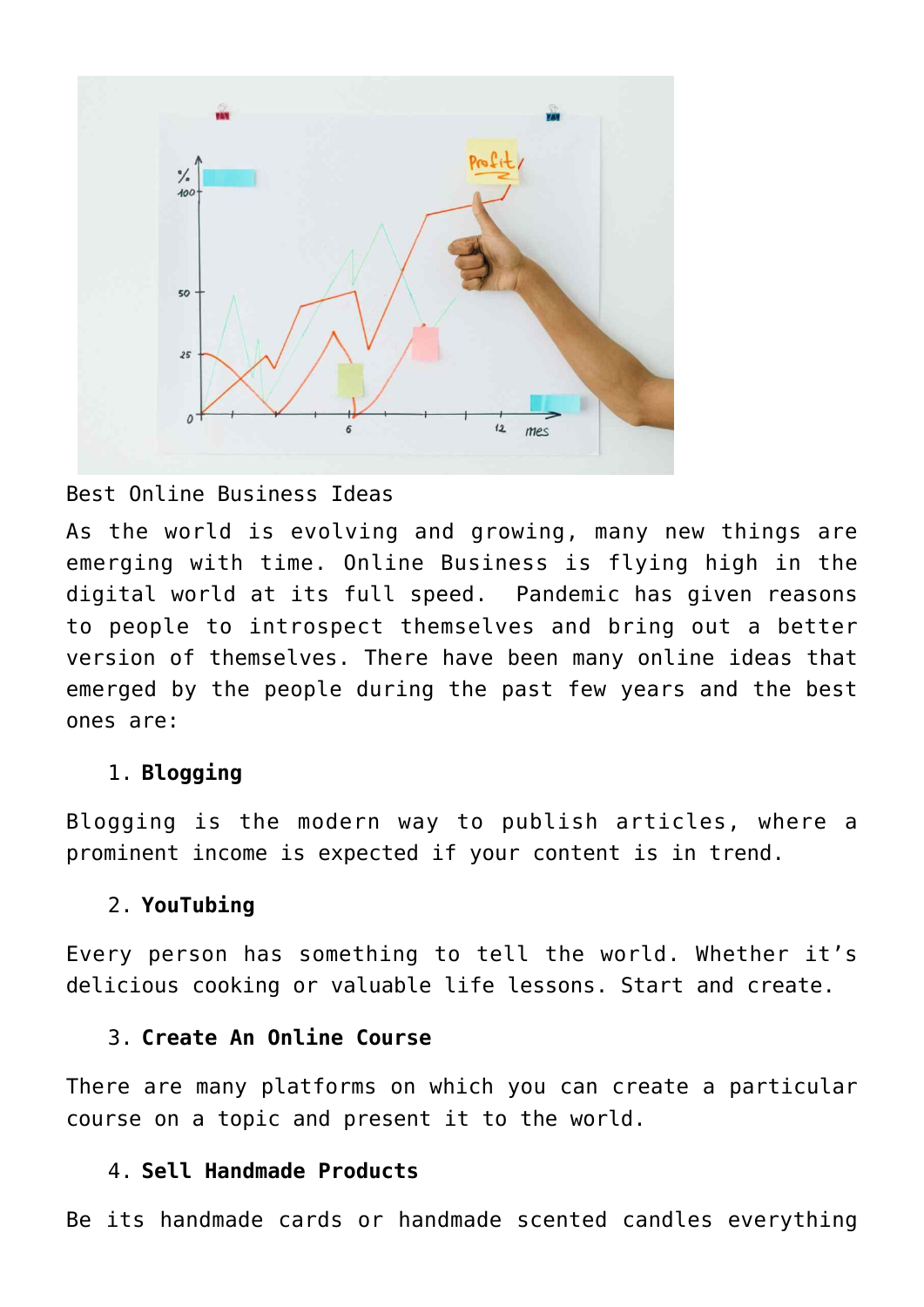

#### Best Online Business Ideas

As the world is evolving and growing, many new things are emerging with time. Online Business is flying high in the digital world at its full speed. Pandemic has given reasons to people to introspect themselves and bring out a better version of themselves. There have been many online ideas that emerged by the people during the past few years and the best ones are:

#### 1. **Blogging**

Blogging is the modern way to publish articles, where a prominent income is expected if your content is in trend.

#### 2. **YouTubing**

Every person has something to tell the world. Whether it's delicious cooking or valuable life lessons. Start and create.

#### 3. **Create An Online Course**

There are many platforms on which you can create a particular course on a topic and present it to the world.

#### 4. **Sell Handmade Products**

Be its handmade cards or handmade scented candles everything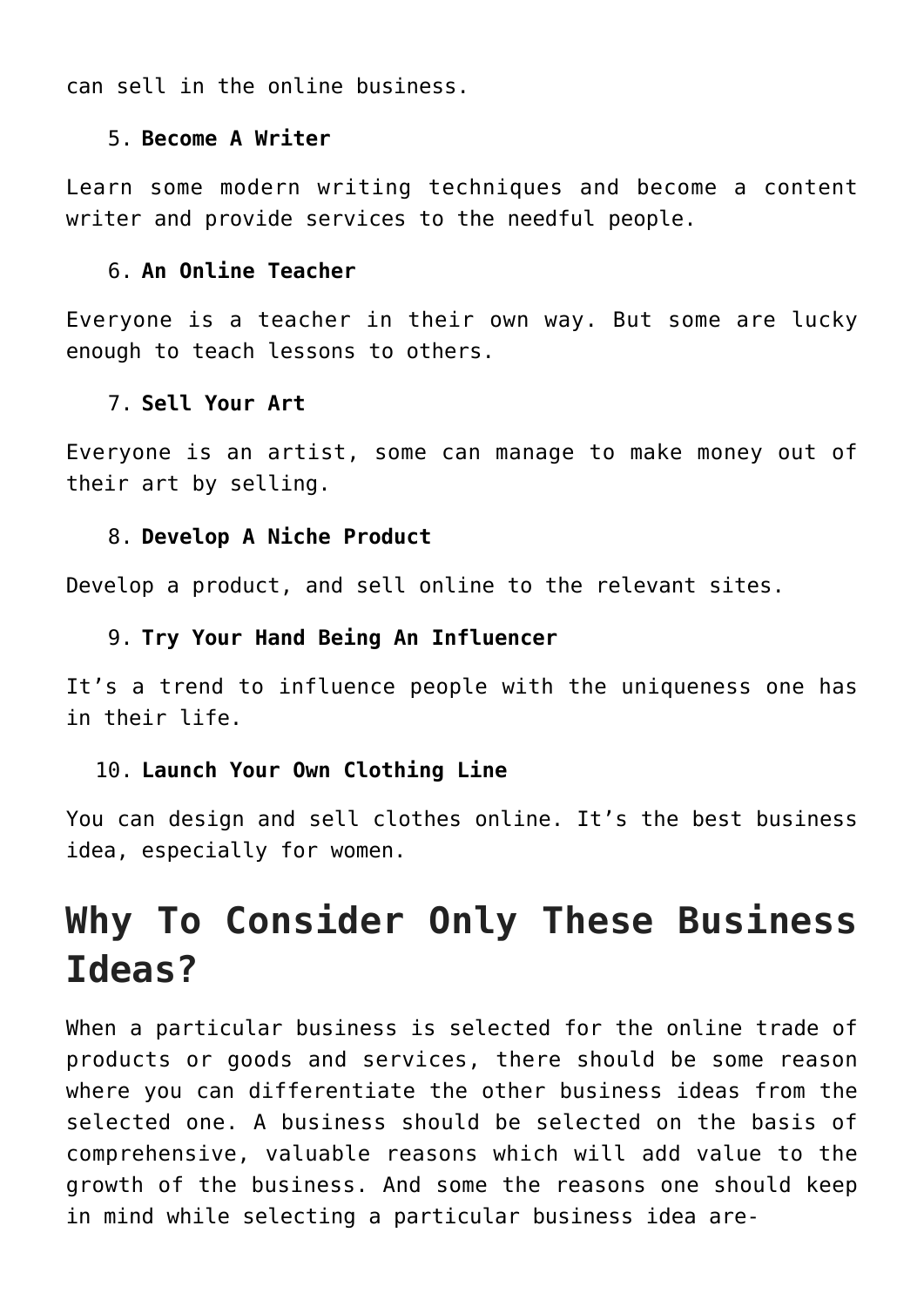can sell in the online business.

#### 5. **Become A Writer**

Learn some modern writing techniques and become a content writer and provide services to the needful people.

#### 6. **An Online Teacher**

Everyone is a teacher in their own way. But some are lucky enough to teach lessons to others.

#### 7. **Sell Your Art**

Everyone is an artist, some can manage to make money out of their art by selling.

#### 8. **Develop A Niche Product**

Develop a product, and sell online to the relevant sites.

#### 9. **Try Your Hand Being An Influencer**

It's a trend to influence people with the uniqueness one has in their life.

#### 10. **Launch Your Own Clothing Line**

You can design and sell clothes online. It's the best business idea, especially for women.

# **Why To Consider Only These Business Ideas?**

When a particular business is selected for the online trade of products or goods and services, there should be some reason where you can differentiate the other business ideas from the selected one. A business should be selected on the basis of comprehensive, valuable reasons which will add value to the growth of the business. And some the reasons one should keep in mind while selecting a particular business idea are-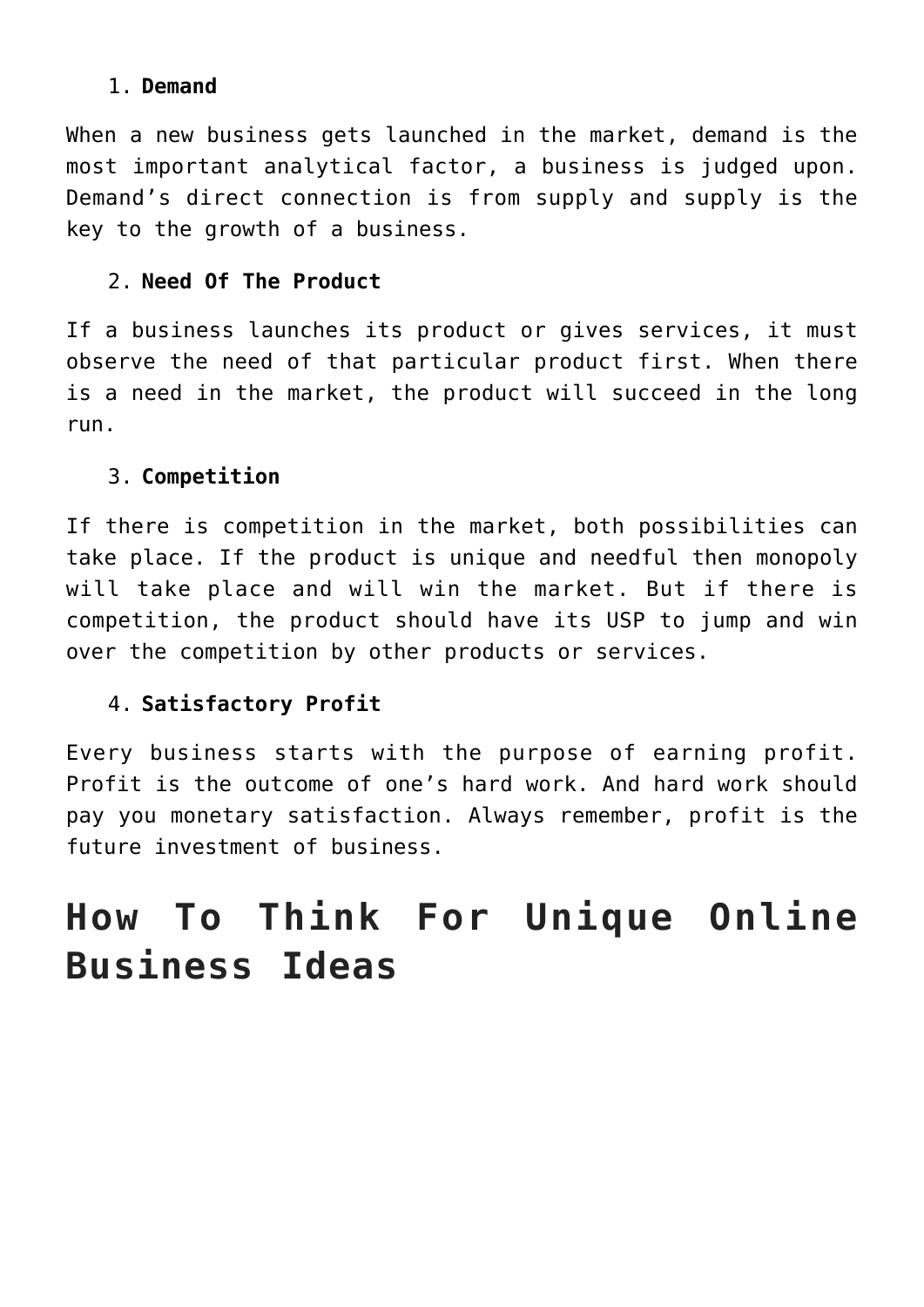### 1. **Demand**

When a new business gets launched in the market, demand is the most important analytical factor, a business is judged upon. Demand's direct connection is from supply and supply is the key to the growth of a business.

### 2. **Need Of The Product**

If a business launches its product or gives services, it must observe the need of that particular product first. When there is a need in the market, the product will succeed in the long run.

### 3. **Competition**

If there is competition in the market, both possibilities can take place. If the product is unique and needful then monopoly will take place and will win the market. But if there is competition, the product should have its USP to jump and win over the competition by other products or services.

### 4. **Satisfactory Profit**

Every business starts with the purpose of earning profit. Profit is the outcome of one's hard work. And hard work should pay you monetary satisfaction. Always remember, profit is the future investment of business.

# **How To Think For Unique Online Business Ideas**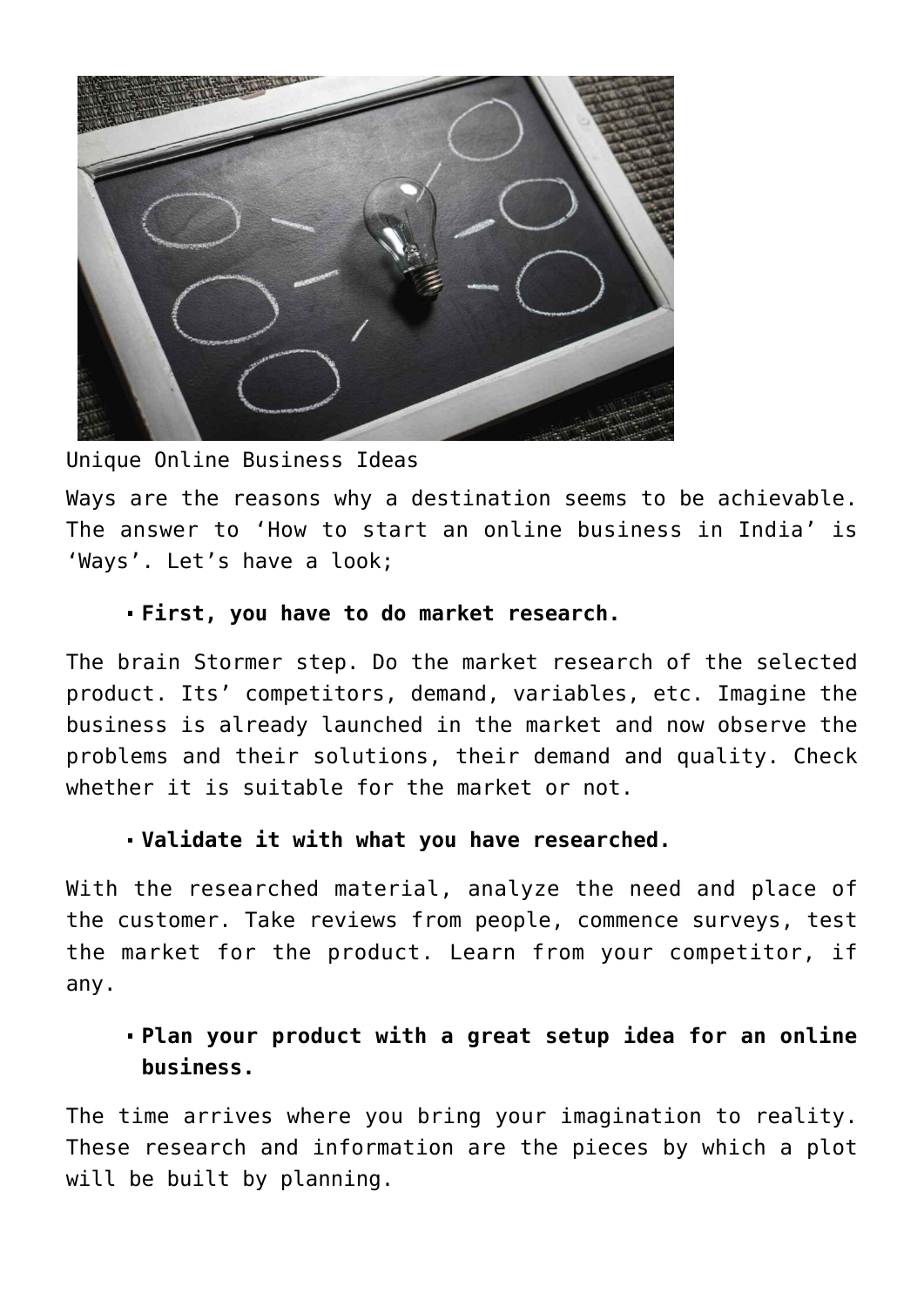

Unique Online Business Ideas

Ways are the reasons why a destination seems to be achievable. The answer to 'How to start an online business in India' is 'Ways'. Let's have a look;

#### **First, you have to do market research.**

The brain Stormer step. Do the market research of the selected product. Its' competitors, demand, variables, etc. Imagine the business is already launched in the market and now observe the problems and their solutions, their demand and quality. Check whether it is suitable for the market or not.

#### **Validate it with what you have researched.**

With the researched material, analyze the need and place of the customer. Take reviews from people, commence surveys, test the market for the product. Learn from your competitor, if any.

### **Plan your product with a great setup idea for an online business.**

The time arrives where you bring your imagination to reality. These research and information are the pieces by which a plot will be built by planning.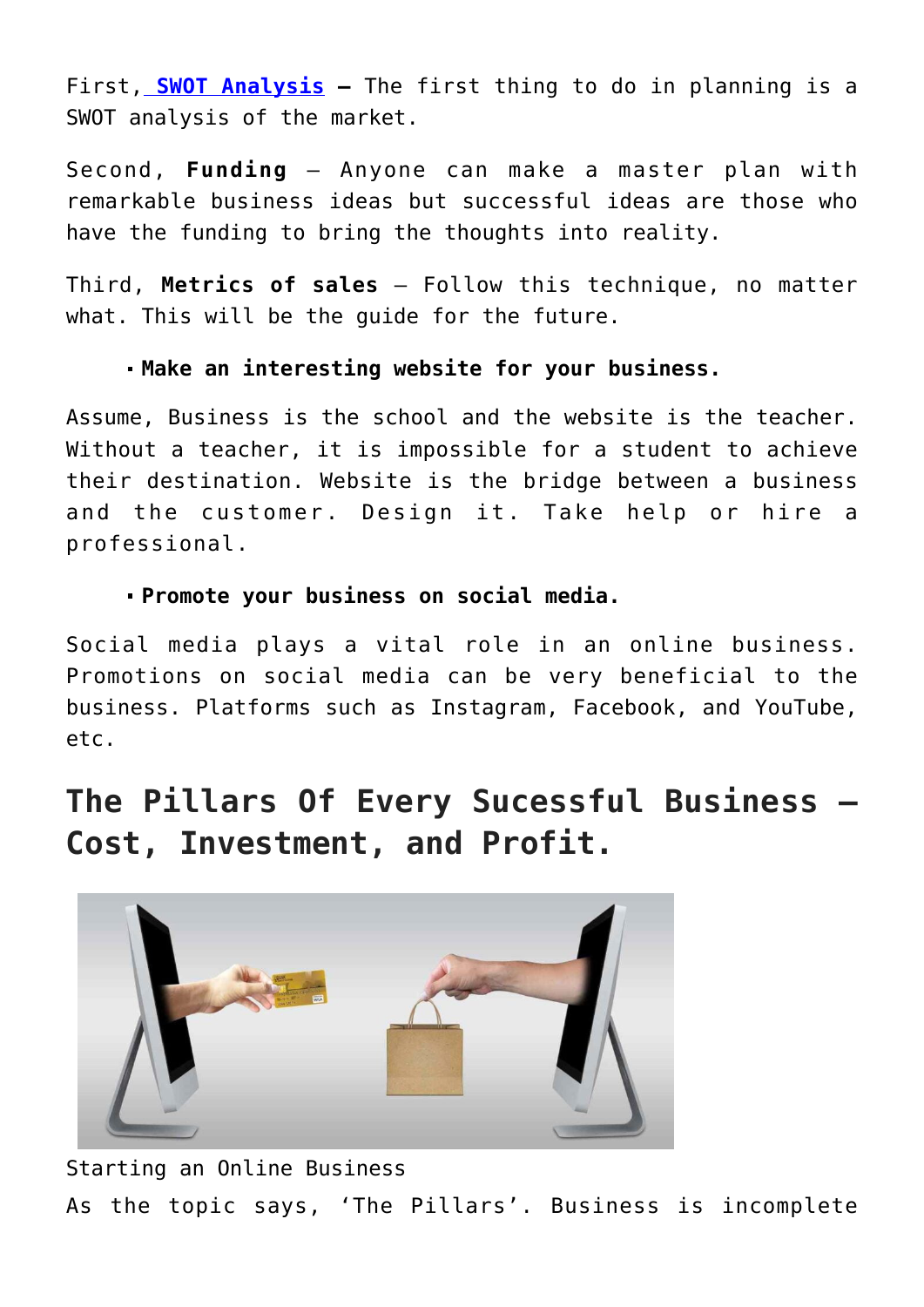First, **[SWOT Analysis](https://en.wikipedia.org/wiki/SWOT_analysis) –** The first thing to do in planning is a SWOT analysis of the market.

Second, **Funding** – Anyone can make a master plan with remarkable business ideas but successful ideas are those who have the funding to bring the thoughts into reality.

Third, **Metrics of sales** – Follow this technique, no matter what. This will be the guide for the future.

#### **Make an interesting website for your business.**

Assume, Business is the school and the website is the teacher. Without a teacher, it is impossible for a student to achieve their destination. Website is the bridge between a business and the customer. Design it. Take help or hire a professional.

#### **Promote your business on social media.**

Social media plays a vital role in an online business. Promotions on social media can be very beneficial to the business. Platforms such as Instagram, Facebook, and YouTube, etc.

## **The Pillars Of Every Sucessful Business – Cost, Investment, and Profit.**



Starting an Online Business As the topic says, 'The Pillars'. Business is incomplete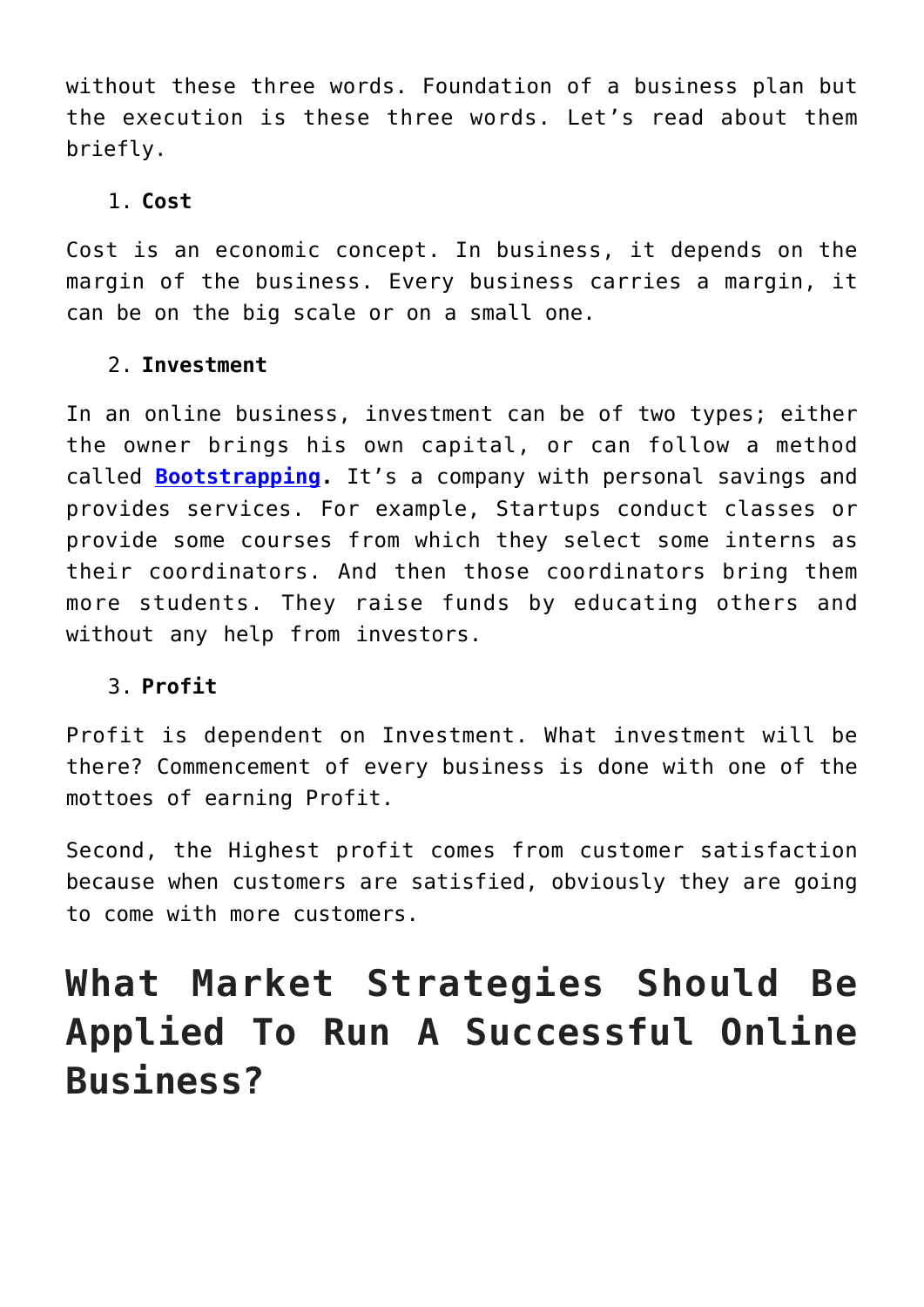without these three words. Foundation of a business plan but the execution is these three words. Let's read about them briefly.

#### 1. **Cost**

Cost is an economic concept. In business, it depends on the margin of the business. Every business carries a margin, it can be on the big scale or on a small one.

### 2. **Investment**

In an online business, investment can be of two types; either the owner brings his own capital, or can follow a method called **[Bootstrapping.](https://corporatefinanceinstitute.com/resources/knowledge/strategy/bootstrapping/#:~:text=Bootstrapping%20is%20the%20process%20of,way%20to%20finance%20small%20businesses&text=For%20the%20successful%20growth%20of,risks%20will%20be%20accounted%20for.)** It's a company with personal savings and provides services. For example, Startups conduct classes or provide some courses from which they select some interns as their coordinators. And then those coordinators bring them more students. They raise funds by educating others and without any help from investors.

### 3. **Profit**

Profit is dependent on Investment. What investment will be there? Commencement of every business is done with one of the mottoes of earning Profit.

Second, the Highest profit comes from customer satisfaction because when customers are satisfied, obviously they are going to come with more customers.

# **What Market Strategies Should Be Applied To Run A Successful Online Business?**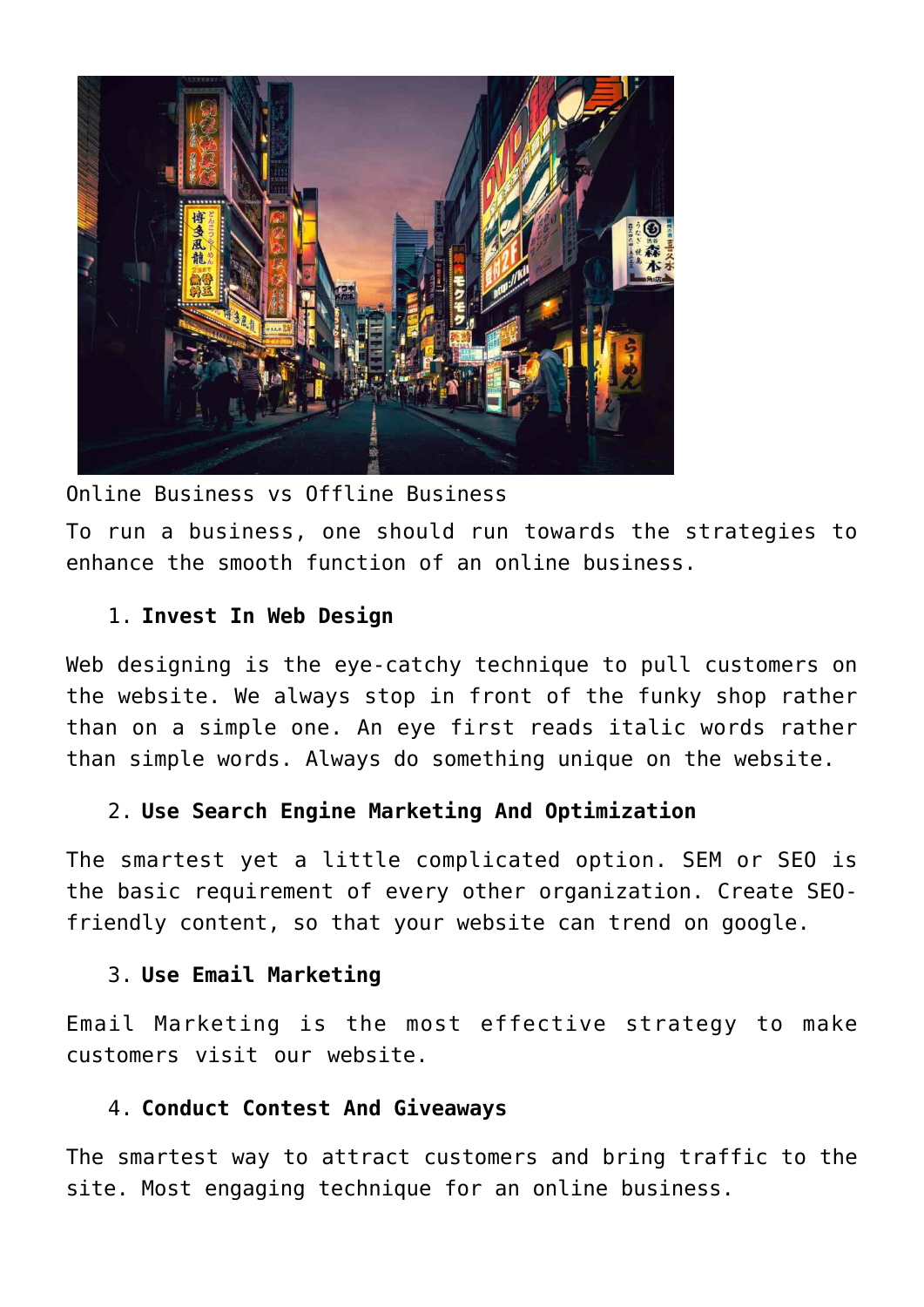

Online Business vs Offline Business To run a business, one should run towards the strategies to enhance the smooth function of an online business.

#### 1. **Invest In Web Design**

Web designing is the eye-catchy technique to pull customers on the website. We always stop in front of the funky shop rather than on a simple one. An eye first reads italic words rather than simple words. Always do something unique on the website.

#### 2. **Use Search Engine Marketing And Optimization**

The smartest yet a little complicated option. SEM or SEO is the basic requirement of every other organization. Create SEOfriendly content, so that your website can trend on google.

#### 3. **Use Email Marketing**

Email Marketing is the most effective strategy to make customers visit our website.

#### 4. **Conduct Contest And Giveaways**

The smartest way to attract customers and bring traffic to the site. Most engaging technique for an online business.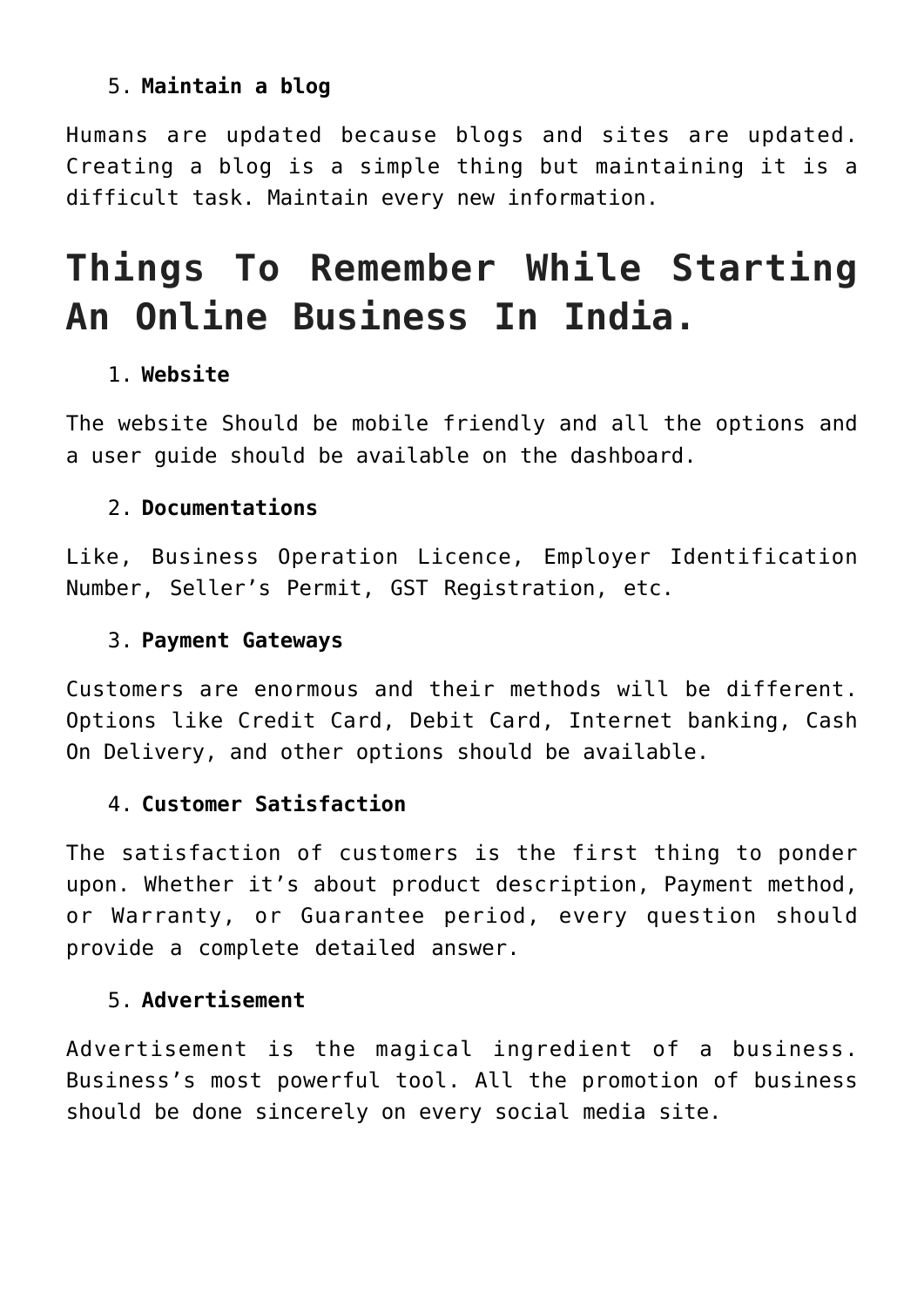### 5. **Maintain a blog**

Humans are updated because blogs and sites are updated. Creating a blog is a simple thing but maintaining it is a difficult task. Maintain every new information.

# **Things To Remember While Starting An Online Business In India.**

### 1. **Website**

The website Should be mobile friendly and all the options and a user guide should be available on the dashboard.

#### 2. **Documentations**

Like, Business Operation Licence, Employer Identification Number, Seller's Permit, GST Registration, etc.

#### 3. **Payment Gateways**

Customers are enormous and their methods will be different. Options like Credit Card, Debit Card, Internet banking, Cash On Delivery, and other options should be available.

#### 4. **Customer Satisfaction**

The satisfaction of customers is the first thing to ponder upon. Whether it's about product description, Payment method, or Warranty, or Guarantee period, every question should provide a complete detailed answer.

#### 5. **Advertisement**

Advertisement is the magical ingredient of a business. Business's most powerful tool. All the promotion of business should be done sincerely on every social media site.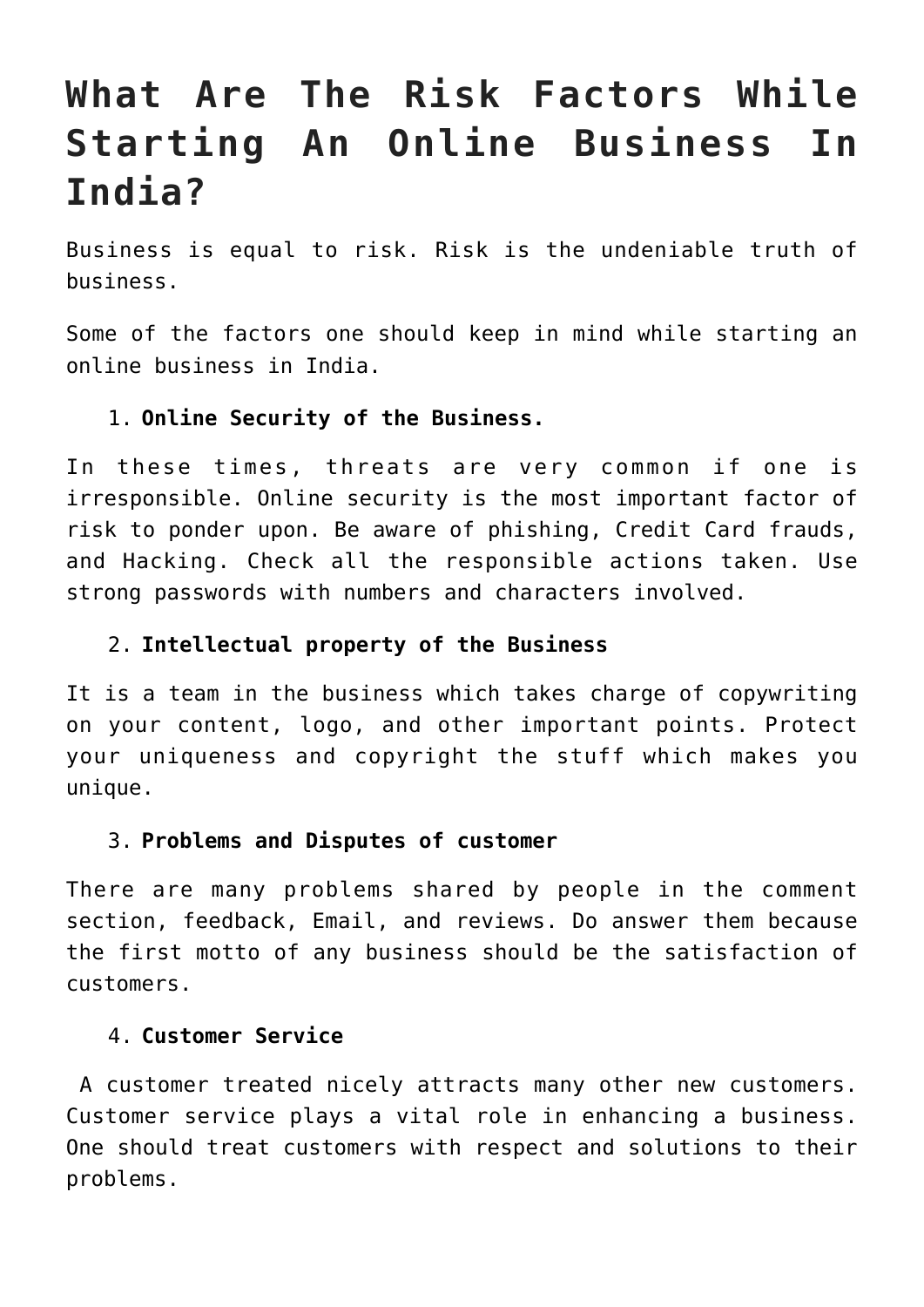# **What Are The Risk Factors While Starting An Online Business In India?**

Business is equal to risk. Risk is the undeniable truth of business.

Some of the factors one should keep in mind while starting an online business in India.

#### 1. **Online Security of the Business.**

In these times, threats are very common if one is irresponsible. Online security is the most important factor of risk to ponder upon. Be aware of phishing, Credit Card frauds, and Hacking. Check all the responsible actions taken. Use strong passwords with numbers and characters involved.

#### 2. **Intellectual property of the Business**

It is a team in the business which takes charge of copywriting on your content, logo, and other important points. Protect your uniqueness and copyright the stuff which makes you unique.

#### 3. **Problems and Disputes of customer**

There are many problems shared by people in the comment section, feedback, Email, and reviews. Do answer them because the first motto of any business should be the satisfaction of customers.

#### 4. **Customer Service**

 A customer treated nicely attracts many other new customers. Customer service plays a vital role in enhancing a business. One should treat customers with respect and solutions to their problems.